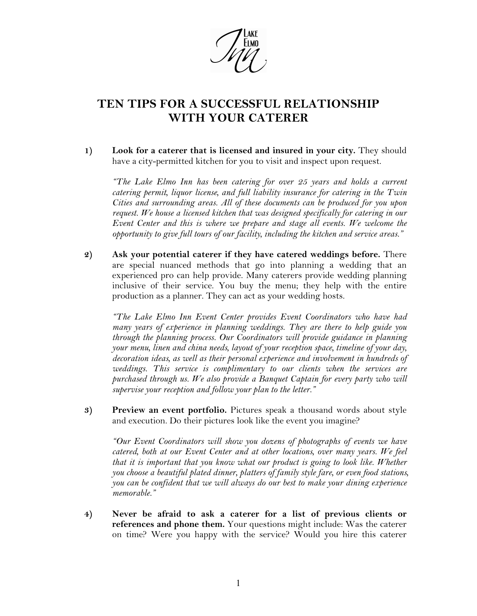

## **TEN TIPS FOR A SUCCESSFUL RELATIONSHIP WITH YOUR CATERER**

**1) Look for a caterer that is licensed and insured in your city.** They should have a city-permitted kitchen for you to visit and inspect upon request.

*"The Lake Elmo Inn has been catering for over 25 years and holds a current catering permit, liquor license, and full liability insurance for catering in the Twin Cities and surrounding areas. All of these documents can be produced for you upon request. We house a licensed kitchen that was designed specifically for catering in our Event Center and this is where we prepare and stage all events. We welcome the opportunity to give full tours of our facility, including the kitchen and service areas."*

**2) Ask your potential caterer if they have catered weddings before.** There are special nuanced methods that go into planning a wedding that an experienced pro can help provide. Many caterers provide wedding planning inclusive of their service. You buy the menu; they help with the entire production as a planner. They can act as your wedding hosts.

*"The Lake Elmo Inn Event Center provides Event Coordinators who have had many years of experience in planning weddings. They are there to help guide you through the planning process. Our Coordinators will provide guidance in planning your menu, linen and china needs, layout of your reception space, timeline of your day, decoration ideas, as well as their personal experience and involvement in hundreds of weddings. This service is complimentary to our clients when the services are purchased through us. We also provide a Banquet Captain for every party who will supervise your reception and follow your plan to the letter."*

**3) Preview an event portfolio.** Pictures speak a thousand words about style and execution. Do their pictures look like the event you imagine?

*"Our Event Coordinators will show you dozens of photographs of events we have catered, both at our Event Center and at other locations, over many years. We feel*  that it is important that you know what our product is going to look like. Whether *you choose a beautiful plated dinner, platters of family style fare, or even food stations, you can be confident that we will always do our best to make your dining experience memorable."*

**4) Never be afraid to ask a caterer for a list of previous clients or references and phone them.** Your questions might include: Was the caterer on time? Were you happy with the service? Would you hire this caterer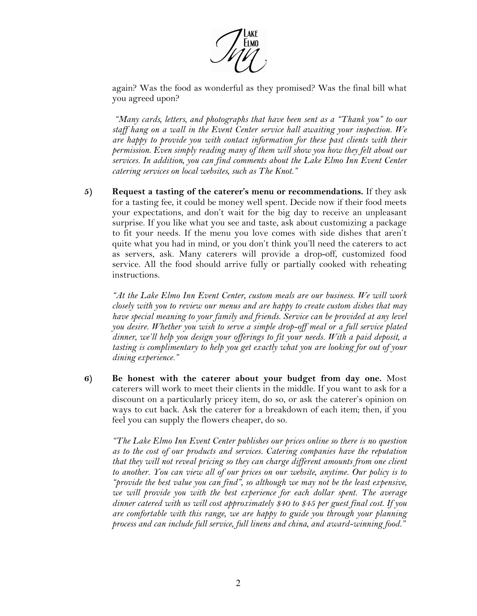

again? Was the food as wonderful as they promised? Was the final bill what you agreed upon?

*"Many cards, letters, and photographs that have been sent as a "Thank you" to our staff hang on a wall in the Event Center service hall awaiting your inspection. We are happy to provide you with contact information for these past clients with their permission. Even simply reading many of them will show you how they felt about our services. In addition, you can find comments about the Lake Elmo Inn Event Center catering services on local websites, such as The Knot."*

**5) Request a tasting of the caterer's menu or recommendations.** If they ask for a tasting fee, it could be money well spent. Decide now if their food meets your expectations, and don't wait for the big day to receive an unpleasant surprise. If you like what you see and taste, ask about customizing a package to fit your needs. If the menu you love comes with side dishes that aren't quite what you had in mind, or you don't think you'll need the caterers to act as servers, ask. Many caterers will provide a drop-off, customized food service. All the food should arrive fully or partially cooked with reheating instructions.

*"At the Lake Elmo Inn Event Center, custom meals are our business. We will work closely with you to review our menus and are happy to create custom dishes that may have special meaning to your family and friends. Service can be provided at any level you desire. Whether you wish to serve a simple drop-off meal or a full service plated dinner, we'll help you design your offerings to fit your needs. With a paid deposit, a tasting is complimentary to help you get exactly what you are looking for out of your dining experience."*

**6) Be honest with the caterer about your budget from day one.** Most caterers will work to meet their clients in the middle. If you want to ask for a discount on a particularly pricey item, do so, or ask the caterer's opinion on ways to cut back. Ask the caterer for a breakdown of each item; then, if you feel you can supply the flowers cheaper, do so.

*"The Lake Elmo Inn Event Center publishes our prices online so there is no question as to the cost of our products and services. Catering companies have the reputation that they will not reveal pricing so they can charge different amounts from one client to another. You can view all of our prices on our website, anytime. Our policy is to "provide the best value you can find", so although we may not be the least expensive, we will provide you with the best experience for each dollar spent. The average dinner catered with us will cost approximately \$40 to \$45 per guest final cost. If you are comfortable with this range, we are happy to guide you through your planning process and can include full service, full linens and china, and award-winning food."*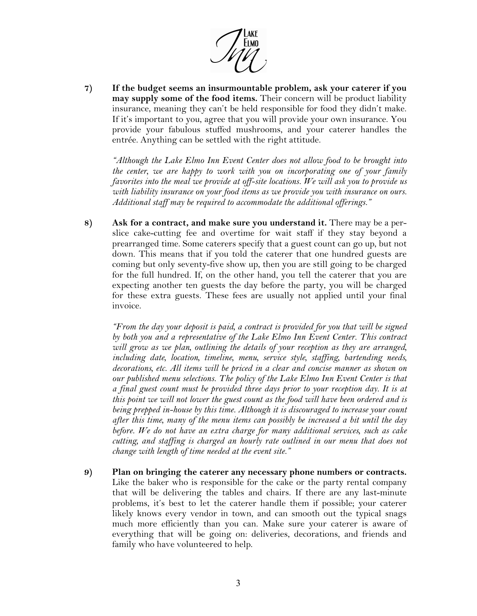

**7) If the budget seems an insurmountable problem, ask your caterer if you may supply some of the food items.** Their concern will be product liability insurance, meaning they can't be held responsible for food they didn't make. If it's important to you, agree that you will provide your own insurance. You provide your fabulous stuffed mushrooms, and your caterer handles the entrée. Anything can be settled with the right attitude.

*"Although the Lake Elmo Inn Event Center does not allow food to be brought into the center, we are happy to work with you on incorporating one of your family favorites into the meal we provide at off-site locations. We will ask you to provide us with liability insurance on your food items as we provide you with insurance on ours. Additional staff may be required to accommodate the additional offerings."*

**8) Ask for a contract, and make sure you understand it.** There may be a perslice cake-cutting fee and overtime for wait staff if they stay beyond a prearranged time. Some caterers specify that a guest count can go up, but not down. This means that if you told the caterer that one hundred guests are coming but only seventy-five show up, then you are still going to be charged for the full hundred. If, on the other hand, you tell the caterer that you are expecting another ten guests the day before the party, you will be charged for these extra guests. These fees are usually not applied until your final invoice.

*"From the day your deposit is paid, a contract is provided for you that will be signed by both you and a representative of the Lake Elmo Inn Event Center. This contract will grow as we plan, outlining the details of your reception as they are arranged, including date, location, timeline, menu, service style, staffing, bartending needs, decorations, etc. All items will be priced in a clear and concise manner as shown on our published menu selections. The policy of the Lake Elmo Inn Event Center is that a final guest count must be provided three days prior to your reception day. It is at this point we will not lower the guest count as the food will have been ordered and is being prepped in-house by this time. Although it is discouraged to increase your count after this time, many of the menu items can possibly be increased a bit until the day before. We do not have an extra charge for many additional services, such as cake cutting, and staffing is charged an hourly rate outlined in our menu that does not change with length of time needed at the event site."*

**9) Plan on bringing the caterer any necessary phone numbers or contracts.** Like the baker who is responsible for the cake or the party rental company that will be delivering the tables and chairs. If there are any last-minute problems, it's best to let the caterer handle them if possible; your caterer likely knows every vendor in town, and can smooth out the typical snags much more efficiently than you can. Make sure your caterer is aware of everything that will be going on: deliveries, decorations, and friends and family who have volunteered to help.